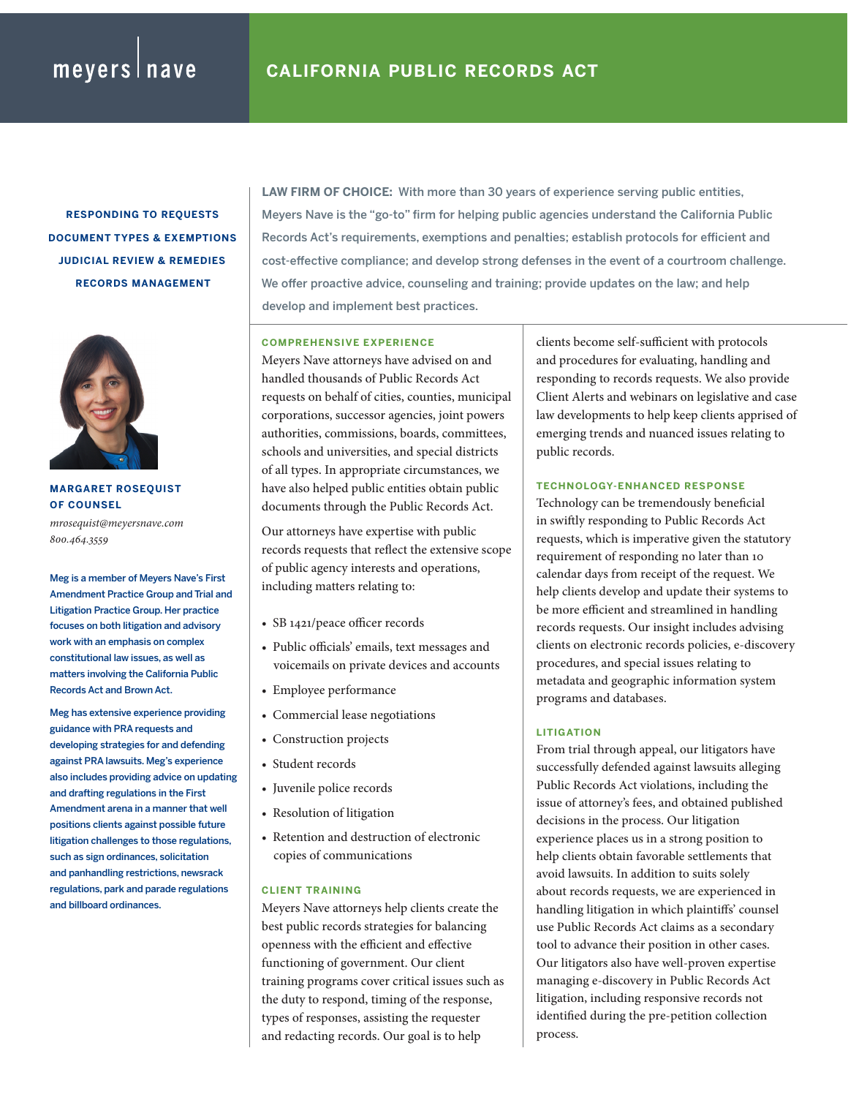**RESPONDING TO REQUESTS DOCUMENT TYPES & EXEMPTIONS JUDICIAL REVIEW & REMEDIES RECORDS MANAGEMENT**



**MARGARET ROSEQUIST OF COUNSEL**

*mrosequist@meyersnave.com 800.464.3559*

Meg is a member of Meyers Nave's First Amendment Practice Group and Trial and Litigation Practice Group. Her practice focuses on both litigation and advisory work with an emphasis on complex constitutional law issues, as well as matters involving the California Public Records Act and Brown Act.

Meg has extensive experience providing guidance with PRA requests and developing strategies for and defending against PRA lawsuits. Meg's experience also includes providing advice on updating and drafting regulations in the First Amendment arena in a manner that well positions clients against possible future litigation challenges to those regulations, such as sign ordinances, solicitation and panhandling restrictions, newsrack regulations, park and parade regulations and billboard ordinances.

**LAW FIRM OF CHOICE:** With more than 30 years of experience serving public entities, Meyers Nave is the "go-to" firm for helping public agencies understand the California Public Records Act's requirements, exemptions and penalties; establish protocols for efficient and cost-effective compliance; and develop strong defenses in the event of a courtroom challenge. We offer proactive advice, counseling and training; provide updates on the law; and help develop and implement best practices.

## **COMPREHENSIVE EXPERIENCE**

Meyers Nave attorneys have advised on and handled thousands of Public Records Act requests on behalf of cities, counties, municipal corporations, successor agencies, joint powers authorities, commissions, boards, committees, schools and universities, and special districts of all types. In appropriate circumstances, we have also helped public entities obtain public documents through the Public Records Act.

Our attorneys have expertise with public records requests that reflect the extensive scope of public agency interests and operations, including matters relating to:

- SB 1421/peace officer records
- Public officials' emails, text messages and voicemails on private devices and accounts
- Employee performance
- Commercial lease negotiations
- Construction projects
- Student records
- Juvenile police records
- Resolution of litigation
- Retention and destruction of electronic copies of communications

## **CLIENT TRAINING**

Meyers Nave attorneys help clients create the best public records strategies for balancing openness with the efficient and effective functioning of government. Our client training programs cover critical issues such as the duty to respond, timing of the response, types of responses, assisting the requester and redacting records. Our goal is to help

clients become self-sufficient with protocols and procedures for evaluating, handling and responding to records requests. We also provide Client Alerts and webinars on legislative and case law developments to help keep clients apprised of emerging trends and nuanced issues relating to public records.

## **TECHNOLOGY-ENHANCED RESPONSE**

Technology can be tremendously beneficial in swiftly responding to Public Records Act requests, which is imperative given the statutory requirement of responding no later than 10 calendar days from receipt of the request. We help clients develop and update their systems to be more efficient and streamlined in handling records requests. Our insight includes advising clients on electronic records policies, e-discovery procedures, and special issues relating to metadata and geographic information system programs and databases.

## **LITIGATION**

From trial through appeal, our litigators have successfully defended against lawsuits alleging Public Records Act violations, including the issue of attorney's fees, and obtained published decisions in the process. Our litigation experience places us in a strong position to help clients obtain favorable settlements that avoid lawsuits. In addition to suits solely about records requests, we are experienced in handling litigation in which plaintiffs' counsel use Public Records Act claims as a secondary tool to advance their position in other cases. Our litigators also have well-proven expertise managing e-discovery in Public Records Act litigation, including responsive records not identified during the pre-petition collection process.